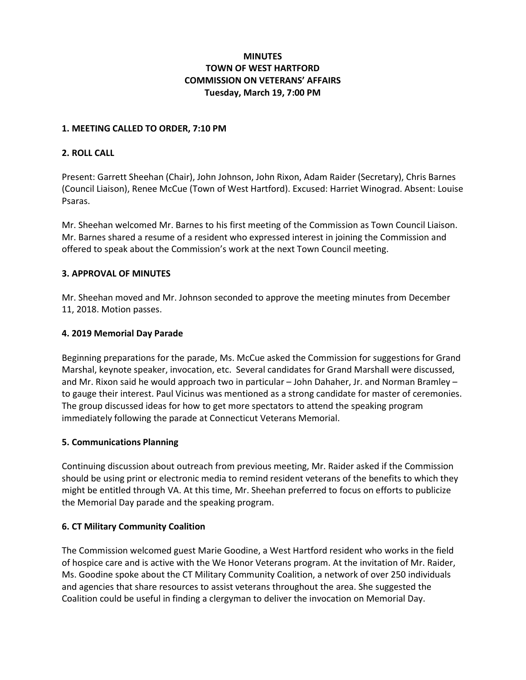# **MINUTES** TOWN OF WEST HARTFORD COMMISSION ON VETERANS' AFFAIRS Tuesday, March 19, 7:00 PM

#### 1. MEETING CALLED TO ORDER, 7:10 PM

### 2. ROLL CALL

Present: Garrett Sheehan (Chair), John Johnson, John Rixon, Adam Raider (Secretary), Chris Barnes (Council Liaison), Renee McCue (Town of West Hartford). Excused: Harriet Winograd. Absent: Louise Psaras.

Mr. Sheehan welcomed Mr. Barnes to his first meeting of the Commission as Town Council Liaison. Mr. Barnes shared a resume of a resident who expressed interest in joining the Commission and offered to speak about the Commission's work at the next Town Council meeting.

#### 3. APPROVAL OF MINUTES

Mr. Sheehan moved and Mr. Johnson seconded to approve the meeting minutes from December 11, 2018. Motion passes.

#### 4. 2019 Memorial Day Parade

Beginning preparations for the parade, Ms. McCue asked the Commission for suggestions for Grand Marshal, keynote speaker, invocation, etc. Several candidates for Grand Marshall were discussed, and Mr. Rixon said he would approach two in particular – John Dahaher, Jr. and Norman Bramley – to gauge their interest. Paul Vicinus was mentioned as a strong candidate for master of ceremonies. The group discussed ideas for how to get more spectators to attend the speaking program immediately following the parade at Connecticut Veterans Memorial.

#### 5. Communications Planning

Continuing discussion about outreach from previous meeting, Mr. Raider asked if the Commission should be using print or electronic media to remind resident veterans of the benefits to which they might be entitled through VA. At this time, Mr. Sheehan preferred to focus on efforts to publicize the Memorial Day parade and the speaking program.

## 6. CT Military Community Coalition

The Commission welcomed guest Marie Goodine, a West Hartford resident who works in the field of hospice care and is active with the We Honor Veterans program. At the invitation of Mr. Raider, Ms. Goodine spoke about the CT Military Community Coalition, a network of over 250 individuals and agencies that share resources to assist veterans throughout the area. She suggested the Coalition could be useful in finding a clergyman to deliver the invocation on Memorial Day.